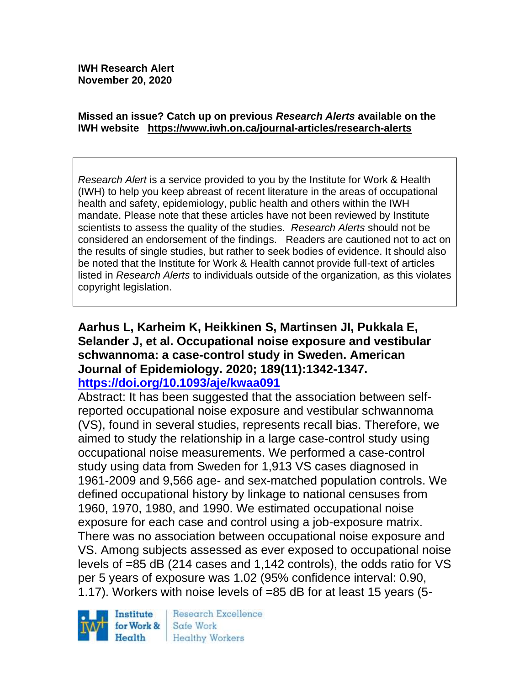**IWH Research Alert November 20, 2020**

#### **Missed an issue? Catch up on previous** *Research Alerts* **available on the [IWH website](http://www.iwh.on.ca/research-alerts) <https://www.iwh.on.ca/journal-articles/research-alerts>**

*Research Alert* is a service provided to you by the Institute for Work & Health (IWH) to help you keep abreast of recent literature in the areas of occupational health and safety, epidemiology, public health and others within the IWH mandate. Please note that these articles have not been reviewed by Institute scientists to assess the quality of the studies. *Research Alerts* should not be considered an endorsement of the findings. Readers are cautioned not to act on the results of single studies, but rather to seek bodies of evidence. It should also be noted that the Institute for Work & Health cannot provide full-text of articles listed in *Research Alerts* to individuals outside of the organization, as this violates copyright legislation.

#### **Aarhus L, Karheim K, Heikkinen S, Martinsen JI, Pukkala E, Selander J, et al. Occupational noise exposure and vestibular schwannoma: a case-control study in Sweden. American Journal of Epidemiology. 2020; 189(11):1342-1347. <https://doi.org/10.1093/aje/kwaa091>**

Abstract: It has been suggested that the association between selfreported occupational noise exposure and vestibular schwannoma (VS), found in several studies, represents recall bias. Therefore, we aimed to study the relationship in a large case-control study using occupational noise measurements. We performed a case-control study using data from Sweden for 1,913 VS cases diagnosed in 1961-2009 and 9,566 age- and sex-matched population controls. We defined occupational history by linkage to national censuses from 1960, 1970, 1980, and 1990. We estimated occupational noise exposure for each case and control using a job-exposure matrix. There was no association between occupational noise exposure and VS. Among subjects assessed as ever exposed to occupational noise levels of =85 dB (214 cases and 1,142 controls), the odds ratio for VS per 5 years of exposure was 1.02 (95% confidence interval: 0.90, 1.17). Workers with noise levels of =85 dB for at least 15 years (5-



Research Excellence Safe Work Healthy Workers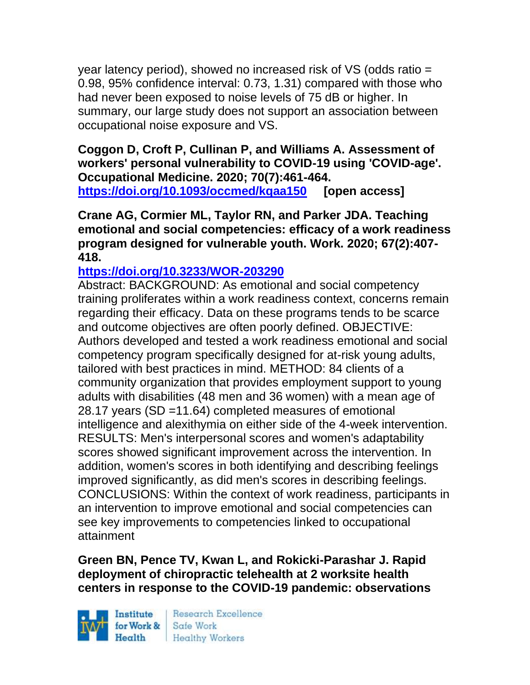year latency period), showed no increased risk of VS (odds ratio = 0.98, 95% confidence interval: 0.73, 1.31) compared with those who had never been exposed to noise levels of 75 dB or higher. In summary, our large study does not support an association between occupational noise exposure and VS.

**Coggon D, Croft P, Cullinan P, and Williams A. Assessment of workers' personal vulnerability to COVID-19 using 'COVID-age'. Occupational Medicine. 2020; 70(7):461-464. <https://doi.org/10.1093/occmed/kqaa150> [open access]**

**Crane AG, Cormier ML, Taylor RN, and Parker JDA. Teaching emotional and social competencies: efficacy of a work readiness program designed for vulnerable youth. Work. 2020; 67(2):407- 418.** 

### **<https://doi.org/10.3233/WOR-203290>**

Abstract: BACKGROUND: As emotional and social competency training proliferates within a work readiness context, concerns remain regarding their efficacy. Data on these programs tends to be scarce and outcome objectives are often poorly defined. OBJECTIVE: Authors developed and tested a work readiness emotional and social competency program specifically designed for at-risk young adults, tailored with best practices in mind. METHOD: 84 clients of a community organization that provides employment support to young adults with disabilities (48 men and 36 women) with a mean age of 28.17 years (SD =11.64) completed measures of emotional intelligence and alexithymia on either side of the 4-week intervention. RESULTS: Men's interpersonal scores and women's adaptability scores showed significant improvement across the intervention. In addition, women's scores in both identifying and describing feelings improved significantly, as did men's scores in describing feelings. CONCLUSIONS: Within the context of work readiness, participants in an intervention to improve emotional and social competencies can see key improvements to competencies linked to occupational attainment

### **Green BN, Pence TV, Kwan L, and Rokicki-Parashar J. Rapid deployment of chiropractic telehealth at 2 worksite health centers in response to the COVID-19 pandemic: observations**

Institute Health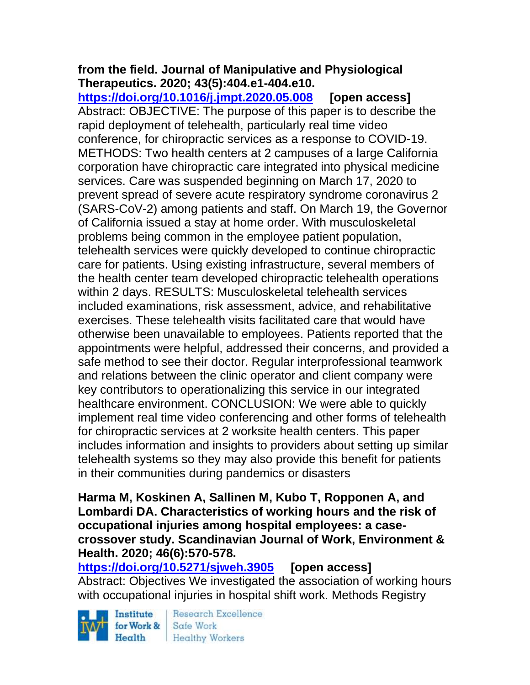# **from the field. Journal of Manipulative and Physiological Therapeutics. 2020; 43(5):404.e1-404.e10.**

**<https://doi.org/10.1016/j.jmpt.2020.05.008> [open access]** Abstract: OBJECTIVE: The purpose of this paper is to describe the rapid deployment of telehealth, particularly real time video conference, for chiropractic services as a response to COVID-19. METHODS: Two health centers at 2 campuses of a large California corporation have chiropractic care integrated into physical medicine services. Care was suspended beginning on March 17, 2020 to prevent spread of severe acute respiratory syndrome coronavirus 2 (SARS-CoV-2) among patients and staff. On March 19, the Governor of California issued a stay at home order. With musculoskeletal problems being common in the employee patient population, telehealth services were quickly developed to continue chiropractic care for patients. Using existing infrastructure, several members of the health center team developed chiropractic telehealth operations within 2 days. RESULTS: Musculoskeletal telehealth services included examinations, risk assessment, advice, and rehabilitative exercises. These telehealth visits facilitated care that would have otherwise been unavailable to employees. Patients reported that the appointments were helpful, addressed their concerns, and provided a safe method to see their doctor. Regular interprofessional teamwork and relations between the clinic operator and client company were key contributors to operationalizing this service in our integrated healthcare environment. CONCLUSION: We were able to quickly implement real time video conferencing and other forms of telehealth for chiropractic services at 2 worksite health centers. This paper includes information and insights to providers about setting up similar telehealth systems so they may also provide this benefit for patients in their communities during pandemics or disasters

#### **Harma M, Koskinen A, Sallinen M, Kubo T, Ropponen A, and Lombardi DA. Characteristics of working hours and the risk of occupational injuries among hospital employees: a casecrossover study. Scandinavian Journal of Work, Environment & Health. 2020; 46(6):570-578.**

**<https://doi.org/10.5271/sjweh.3905> [open access]** Abstract: Objectives We investigated the association of working hours with occupational injuries in hospital shift work. Methods Registry

Institute Health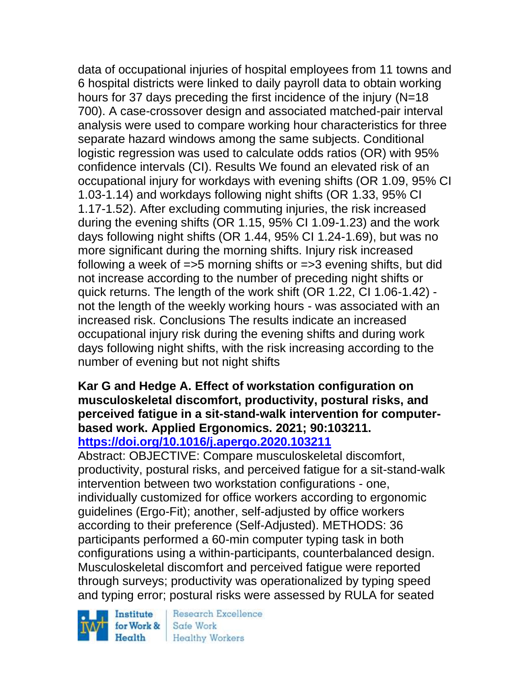data of occupational injuries of hospital employees from 11 towns and 6 hospital districts were linked to daily payroll data to obtain working hours for 37 days preceding the first incidence of the injury (N=18 700). A case-crossover design and associated matched-pair interval analysis were used to compare working hour characteristics for three separate hazard windows among the same subjects. Conditional logistic regression was used to calculate odds ratios (OR) with 95% confidence intervals (CI). Results We found an elevated risk of an occupational injury for workdays with evening shifts (OR 1.09, 95% CI 1.03-1.14) and workdays following night shifts (OR 1.33, 95% CI 1.17-1.52). After excluding commuting injuries, the risk increased during the evening shifts (OR 1.15, 95% CI 1.09-1.23) and the work days following night shifts (OR 1.44, 95% CI 1.24-1.69), but was no more significant during the morning shifts. Injury risk increased following a week of =>5 morning shifts or =>3 evening shifts, but did not increase according to the number of preceding night shifts or quick returns. The length of the work shift (OR 1.22, CI 1.06-1.42) not the length of the weekly working hours - was associated with an increased risk. Conclusions The results indicate an increased occupational injury risk during the evening shifts and during work days following night shifts, with the risk increasing according to the number of evening but not night shifts

#### **Kar G and Hedge A. Effect of workstation configuration on musculoskeletal discomfort, productivity, postural risks, and perceived fatigue in a sit-stand-walk intervention for computerbased work. Applied Ergonomics. 2021; 90:103211. <https://doi.org/10.1016/j.apergo.2020.103211>**

Abstract: OBJECTIVE: Compare musculoskeletal discomfort, productivity, postural risks, and perceived fatigue for a sit-stand-walk intervention between two workstation configurations - one, individually customized for office workers according to ergonomic guidelines (Ergo-Fit); another, self-adjusted by office workers according to their preference (Self-Adjusted). METHODS: 36 participants performed a 60-min computer typing task in both configurations using a within-participants, counterbalanced design. Musculoskeletal discomfort and perceived fatigue were reported through surveys; productivity was operationalized by typing speed and typing error; postural risks were assessed by RULA for seated

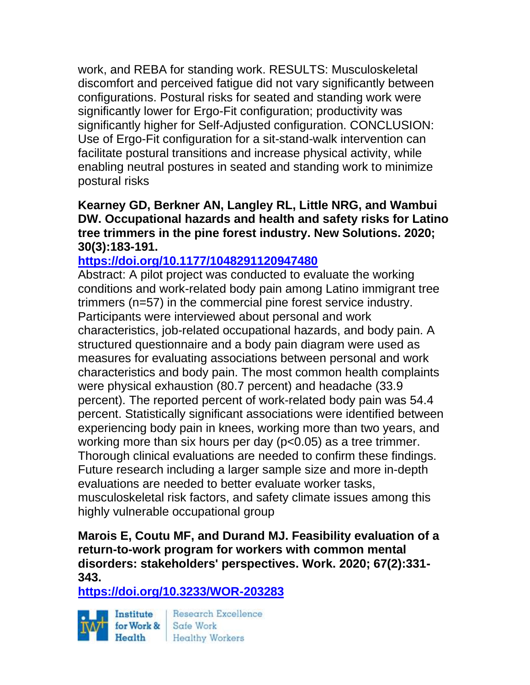work, and REBA for standing work. RESULTS: Musculoskeletal discomfort and perceived fatigue did not vary significantly between configurations. Postural risks for seated and standing work were significantly lower for Ergo-Fit configuration; productivity was significantly higher for Self-Adjusted configuration. CONCLUSION: Use of Ergo-Fit configuration for a sit-stand-walk intervention can facilitate postural transitions and increase physical activity, while enabling neutral postures in seated and standing work to minimize postural risks

**Kearney GD, Berkner AN, Langley RL, Little NRG, and Wambui DW. Occupational hazards and health and safety risks for Latino tree trimmers in the pine forest industry. New Solutions. 2020; 30(3):183-191.** 

### **<https://doi.org/10.1177/1048291120947480>**

Abstract: A pilot project was conducted to evaluate the working conditions and work-related body pain among Latino immigrant tree trimmers (n=57) in the commercial pine forest service industry. Participants were interviewed about personal and work characteristics, job-related occupational hazards, and body pain. A structured questionnaire and a body pain diagram were used as measures for evaluating associations between personal and work characteristics and body pain. The most common health complaints were physical exhaustion (80.7 percent) and headache (33.9 percent). The reported percent of work-related body pain was 54.4 percent. Statistically significant associations were identified between experiencing body pain in knees, working more than two years, and working more than six hours per day (p<0.05) as a tree trimmer. Thorough clinical evaluations are needed to confirm these findings. Future research including a larger sample size and more in-depth evaluations are needed to better evaluate worker tasks, musculoskeletal risk factors, and safety climate issues among this highly vulnerable occupational group

**Marois E, Coutu MF, and Durand MJ. Feasibility evaluation of a return-to-work program for workers with common mental disorders: stakeholders' perspectives. Work. 2020; 67(2):331- 343.** 

**<https://doi.org/10.3233/WOR-203283>** 



Research Excellence Health Healthy Workers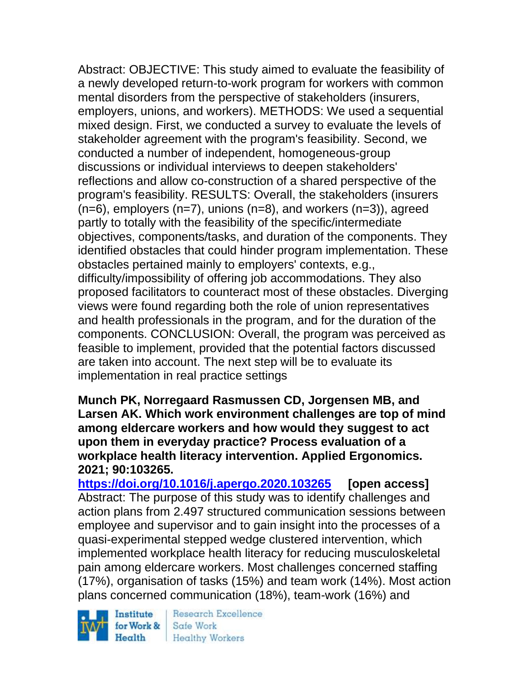Abstract: OBJECTIVE: This study aimed to evaluate the feasibility of a newly developed return-to-work program for workers with common mental disorders from the perspective of stakeholders (insurers, employers, unions, and workers). METHODS: We used a sequential mixed design. First, we conducted a survey to evaluate the levels of stakeholder agreement with the program's feasibility. Second, we conducted a number of independent, homogeneous-group discussions or individual interviews to deepen stakeholders' reflections and allow co-construction of a shared perspective of the program's feasibility. RESULTS: Overall, the stakeholders (insurers  $(n=6)$ , employers  $(n=7)$ , unions  $(n=8)$ , and workers  $(n=3)$ ), agreed partly to totally with the feasibility of the specific/intermediate objectives, components/tasks, and duration of the components. They identified obstacles that could hinder program implementation. These obstacles pertained mainly to employers' contexts, e.g., difficulty/impossibility of offering job accommodations. They also proposed facilitators to counteract most of these obstacles. Diverging views were found regarding both the role of union representatives and health professionals in the program, and for the duration of the components. CONCLUSION: Overall, the program was perceived as feasible to implement, provided that the potential factors discussed are taken into account. The next step will be to evaluate its implementation in real practice settings

**Munch PK, Norregaard Rasmussen CD, Jorgensen MB, and Larsen AK. Which work environment challenges are top of mind among eldercare workers and how would they suggest to act upon them in everyday practice? Process evaluation of a workplace health literacy intervention. Applied Ergonomics. 2021; 90:103265.**

**<https://doi.org/10.1016/j.apergo.2020.103265> [open access]** Abstract: The purpose of this study was to identify challenges and action plans from 2.497 structured communication sessions between employee and supervisor and to gain insight into the processes of a quasi-experimental stepped wedge clustered intervention, which implemented workplace health literacy for reducing musculoskeletal pain among eldercare workers. Most challenges concerned staffing (17%), organisation of tasks (15%) and team work (14%). Most action plans concerned communication (18%), team-work (16%) and

Institute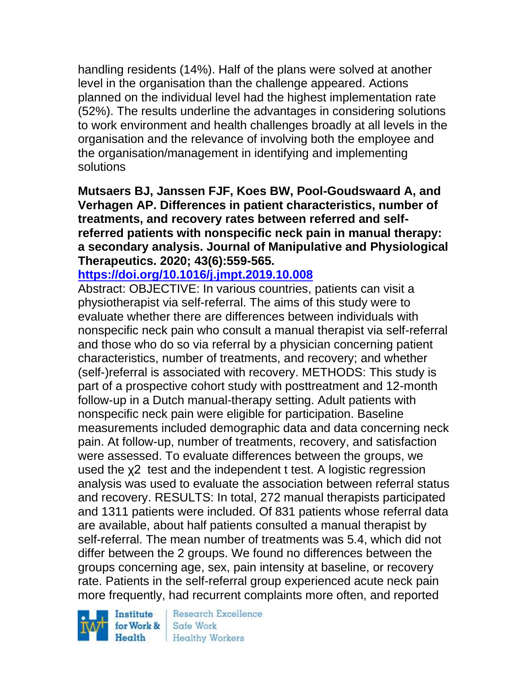handling residents (14%). Half of the plans were solved at another level in the organisation than the challenge appeared. Actions planned on the individual level had the highest implementation rate (52%). The results underline the advantages in considering solutions to work environment and health challenges broadly at all levels in the organisation and the relevance of involving both the employee and the organisation/management in identifying and implementing solutions

**Mutsaers BJ, Janssen FJF, Koes BW, Pool-Goudswaard A, and Verhagen AP. Differences in patient characteristics, number of treatments, and recovery rates between referred and selfreferred patients with nonspecific neck pain in manual therapy: a secondary analysis. Journal of Manipulative and Physiological Therapeutics. 2020; 43(6):559-565.** 

### **<https://doi.org/10.1016/j.jmpt.2019.10.008>**

Abstract: OBJECTIVE: In various countries, patients can visit a physiotherapist via self-referral. The aims of this study were to evaluate whether there are differences between individuals with nonspecific neck pain who consult a manual therapist via self-referral and those who do so via referral by a physician concerning patient characteristics, number of treatments, and recovery; and whether (self-)referral is associated with recovery. METHODS: This study is part of a prospective cohort study with posttreatment and 12-month follow-up in a Dutch manual-therapy setting. Adult patients with nonspecific neck pain were eligible for participation. Baseline measurements included demographic data and data concerning neck pain. At follow-up, number of treatments, recovery, and satisfaction were assessed. To evaluate differences between the groups, we used the χ2 test and the independent t test. A logistic regression analysis was used to evaluate the association between referral status and recovery. RESULTS: In total, 272 manual therapists participated and 1311 patients were included. Of 831 patients whose referral data are available, about half patients consulted a manual therapist by self-referral. The mean number of treatments was 5.4, which did not differ between the 2 groups. We found no differences between the groups concerning age, sex, pain intensity at baseline, or recovery rate. Patients in the self-referral group experienced acute neck pain more frequently, had recurrent complaints more often, and reported

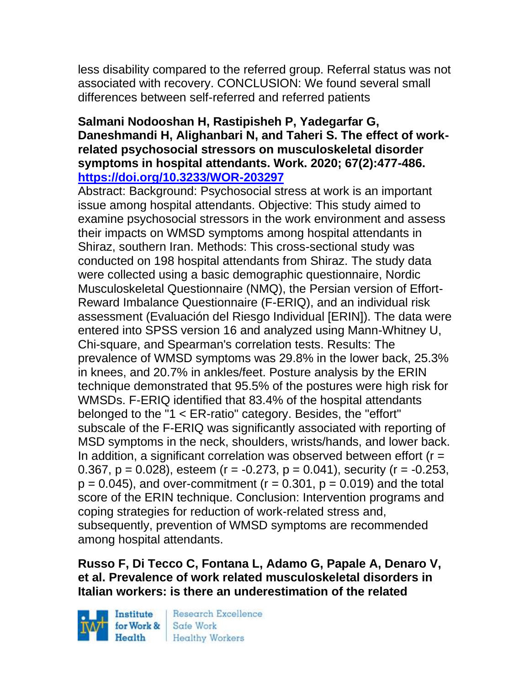less disability compared to the referred group. Referral status was not associated with recovery. CONCLUSION: We found several small differences between self-referred and referred patients

#### **Salmani Nodooshan H, Rastipisheh P, Yadegarfar G, Daneshmandi H, Alighanbari N, and Taheri S. The effect of workrelated psychosocial stressors on musculoskeletal disorder symptoms in hospital attendants. Work. 2020; 67(2):477-486. <https://doi.org/10.3233/WOR-203297>**

Abstract: Background: Psychosocial stress at work is an important issue among hospital attendants. Objective: This study aimed to examine psychosocial stressors in the work environment and assess their impacts on WMSD symptoms among hospital attendants in Shiraz, southern Iran. Methods: This cross-sectional study was conducted on 198 hospital attendants from Shiraz. The study data were collected using a basic demographic questionnaire, Nordic Musculoskeletal Questionnaire (NMQ), the Persian version of Effort-Reward Imbalance Questionnaire (F-ERIQ), and an individual risk assessment (Evaluación del Riesgo Individual [ERIN]). The data were entered into SPSS version 16 and analyzed using Mann-Whitney U, Chi-square, and Spearman's correlation tests. Results: The prevalence of WMSD symptoms was 29.8% in the lower back, 25.3% in knees, and 20.7% in ankles/feet. Posture analysis by the ERIN technique demonstrated that 95.5% of the postures were high risk for WMSDs. F-ERIQ identified that 83.4% of the hospital attendants belonged to the "1 < ER-ratio" category. Besides, the "effort" subscale of the F-ERIQ was significantly associated with reporting of MSD symptoms in the neck, shoulders, wrists/hands, and lower back. In addition, a significant correlation was observed between effort ( $r =$ 0.367,  $p = 0.028$ , esteem (r =  $-0.273$ ,  $p = 0.041$ ), security (r =  $-0.253$ ,  $p = 0.045$ , and over-commitment ( $r = 0.301$ ,  $p = 0.019$ ) and the total score of the ERIN technique. Conclusion: Intervention programs and coping strategies for reduction of work-related stress and, subsequently, prevention of WMSD symptoms are recommended among hospital attendants.

### **Russo F, Di Tecco C, Fontana L, Adamo G, Papale A, Denaro V, et al. Prevalence of work related musculoskeletal disorders in Italian workers: is there an underestimation of the related**

Institute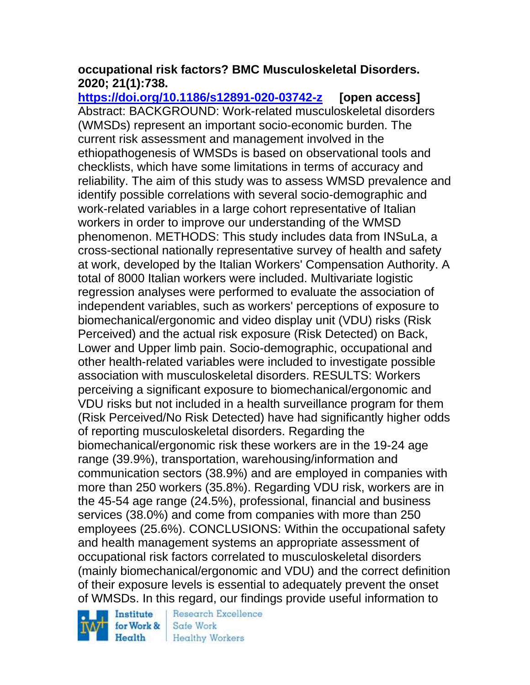### **occupational risk factors? BMC Musculoskeletal Disorders. 2020; 21(1):738.**

**<https://doi.org/10.1186/s12891-020-03742-z> [open access]** Abstract: BACKGROUND: Work-related musculoskeletal disorders (WMSDs) represent an important socio-economic burden. The current risk assessment and management involved in the ethiopathogenesis of WMSDs is based on observational tools and checklists, which have some limitations in terms of accuracy and reliability. The aim of this study was to assess WMSD prevalence and identify possible correlations with several socio-demographic and work-related variables in a large cohort representative of Italian workers in order to improve our understanding of the WMSD phenomenon. METHODS: This study includes data from INSuLa, a cross-sectional nationally representative survey of health and safety at work, developed by the Italian Workers' Compensation Authority. A total of 8000 Italian workers were included. Multivariate logistic regression analyses were performed to evaluate the association of independent variables, such as workers' perceptions of exposure to biomechanical/ergonomic and video display unit (VDU) risks (Risk Perceived) and the actual risk exposure (Risk Detected) on Back, Lower and Upper limb pain. Socio-demographic, occupational and other health-related variables were included to investigate possible association with musculoskeletal disorders. RESULTS: Workers perceiving a significant exposure to biomechanical/ergonomic and VDU risks but not included in a health surveillance program for them (Risk Perceived/No Risk Detected) have had significantly higher odds of reporting musculoskeletal disorders. Regarding the biomechanical/ergonomic risk these workers are in the 19-24 age range (39.9%), transportation, warehousing/information and communication sectors (38.9%) and are employed in companies with more than 250 workers (35.8%). Regarding VDU risk, workers are in the 45-54 age range (24.5%), professional, financial and business services (38.0%) and come from companies with more than 250 employees (25.6%). CONCLUSIONS: Within the occupational safety and health management systems an appropriate assessment of occupational risk factors correlated to musculoskeletal disorders (mainly biomechanical/ergonomic and VDU) and the correct definition of their exposure levels is essential to adequately prevent the onset of WMSDs. In this regard, our findings provide useful information to

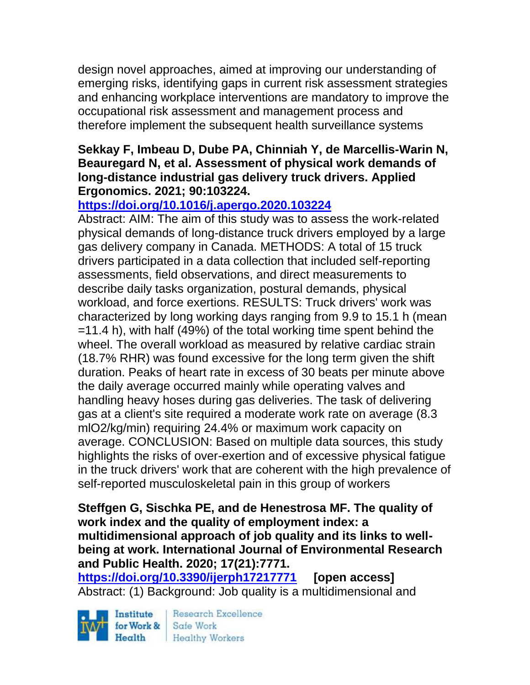design novel approaches, aimed at improving our understanding of emerging risks, identifying gaps in current risk assessment strategies and enhancing workplace interventions are mandatory to improve the occupational risk assessment and management process and therefore implement the subsequent health surveillance systems

### **Sekkay F, Imbeau D, Dube PA, Chinniah Y, de Marcellis-Warin N, Beauregard N, et al. Assessment of physical work demands of long-distance industrial gas delivery truck drivers. Applied Ergonomics. 2021; 90:103224.**

## **<https://doi.org/10.1016/j.apergo.2020.103224>**

Abstract: AIM: The aim of this study was to assess the work-related physical demands of long-distance truck drivers employed by a large gas delivery company in Canada. METHODS: A total of 15 truck drivers participated in a data collection that included self-reporting assessments, field observations, and direct measurements to describe daily tasks organization, postural demands, physical workload, and force exertions. RESULTS: Truck drivers' work was characterized by long working days ranging from 9.9 to 15.1 h (mean =11.4 h), with half (49%) of the total working time spent behind the wheel. The overall workload as measured by relative cardiac strain (18.7% RHR) was found excessive for the long term given the shift duration. Peaks of heart rate in excess of 30 beats per minute above the daily average occurred mainly while operating valves and handling heavy hoses during gas deliveries. The task of delivering gas at a client's site required a moderate work rate on average (8.3 mlO2/kg/min) requiring 24.4% or maximum work capacity on average. CONCLUSION: Based on multiple data sources, this study highlights the risks of over-exertion and of excessive physical fatigue in the truck drivers' work that are coherent with the high prevalence of self-reported musculoskeletal pain in this group of workers

### **Steffgen G, Sischka PE, and de Henestrosa MF. The quality of work index and the quality of employment index: a multidimensional approach of job quality and its links to wellbeing at work. International Journal of Environmental Research and Public Health. 2020; 17(21):7771.**

**<https://doi.org/10.3390/ijerph17217771> [open access]** Abstract: (1) Background: Job quality is a multidimensional and

Institute for Work & Safe Work

Research Excellence Health Healthy Workers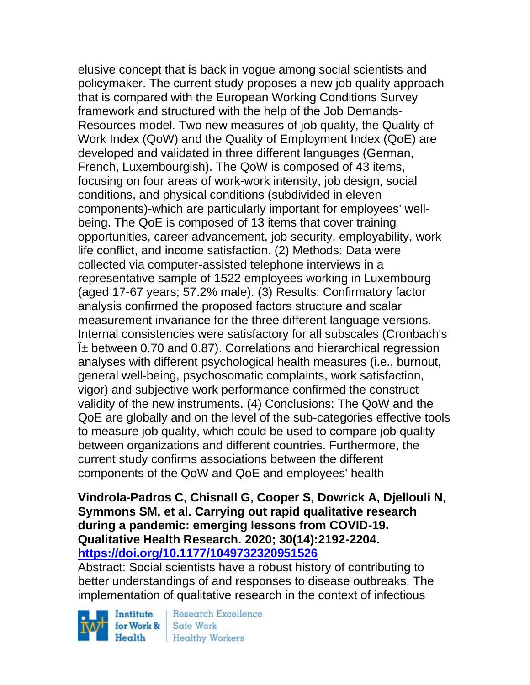elusive concept that is back in vogue among social scientists and policymaker. The current study proposes a new job quality approach that is compared with the European Working Conditions Survey framework and structured with the help of the Job Demands-Resources model. Two new measures of job quality, the Quality of Work Index (QoW) and the Quality of Employment Index (QoE) are developed and validated in three different languages (German, French, Luxembourgish). The QoW is composed of 43 items, focusing on four areas of work-work intensity, job design, social conditions, and physical conditions (subdivided in eleven components)-which are particularly important for employees' wellbeing. The QoE is composed of 13 items that cover training opportunities, career advancement, job security, employability, work life conflict, and income satisfaction. (2) Methods: Data were collected via computer-assisted telephone interviews in a representative sample of 1522 employees working in Luxembourg (aged 17-67 years; 57.2% male). (3) Results: Confirmatory factor analysis confirmed the proposed factors structure and scalar measurement invariance for the three different language versions. Internal consistencies were satisfactory for all subscales (Cronbach's  $i<sub>±</sub>$  between 0.70 and 0.87). Correlations and hierarchical regression analyses with different psychological health measures (i.e., burnout, general well-being, psychosomatic complaints, work satisfaction, vigor) and subjective work performance confirmed the construct validity of the new instruments. (4) Conclusions: The QoW and the QoE are globally and on the level of the sub-categories effective tools to measure job quality, which could be used to compare job quality between organizations and different countries. Furthermore, the current study confirms associations between the different components of the QoW and QoE and employees' health

**Vindrola-Padros C, Chisnall G, Cooper S, Dowrick A, Djellouli N, Symmons SM, et al. Carrying out rapid qualitative research during a pandemic: emerging lessons from COVID-19. Qualitative Health Research. 2020; 30(14):2192-2204. <https://doi.org/10.1177/1049732320951526>** 

Abstract: Social scientists have a robust history of contributing to better understandings of and responses to disease outbreaks. The implementation of qualitative research in the context of infectious

Institute